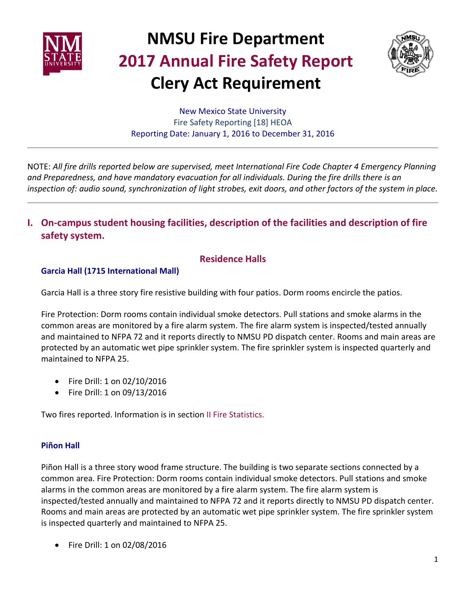



New Mexico State University Fire Safety Reporting [18] HEOA Reporting Date: January 1, 2016 to December 31, 2016

NOTE: *All fire drills reported below are supervised, meet International Fire Code Chapter 4 Emergency Planning and Preparedness, and have mandatory evacuation for all individuals. During the fire drills there is an inspection of: audio sound, synchronization of light strobes, exit doors, and other factors of the system in place.*

**I. On-campus student housing facilities, description of the facilities and description of fire safety system.**

### **Residence Halls**

#### **Garcia Hall (1715 International Mall)**

Garcia Hall is a three story fire resistive building with four patios. Dorm rooms encircle the patios.

Fire Protection: Dorm rooms contain individual smoke detectors. Pull stations and smoke alarms in the common areas are monitored by a fire alarm system. The fire alarm system is inspected/tested annually and maintained to NFPA 72 and it reports directly to NMSU PD dispatch center. Rooms and main areas are protected by an automatic wet pipe sprinkler system. The fire sprinkler system is inspected quarterly and maintained to NFPA 25.

- Fire Drill: 1 on 02/10/2016
- Fire Drill: 1 on 09/13/2016

Two fires reported. Information is in section II Fire Statistics.

#### **Piñon Hall**

Piñon Hall is a three story wood frame structure. The building is two separate sections connected by a common area. Fire Protection: Dorm rooms contain individual smoke detectors. Pull stations and smoke alarms in the common areas are monitored by a fire alarm system. The fire alarm system is inspected/tested annually and maintained to NFPA 72 and it reports directly to NMSU PD dispatch center. Rooms and main areas are protected by an automatic wet pipe sprinkler system. The fire sprinkler system is inspected quarterly and maintained to NFPA 25.

• Fire Drill: 1 on 02/08/2016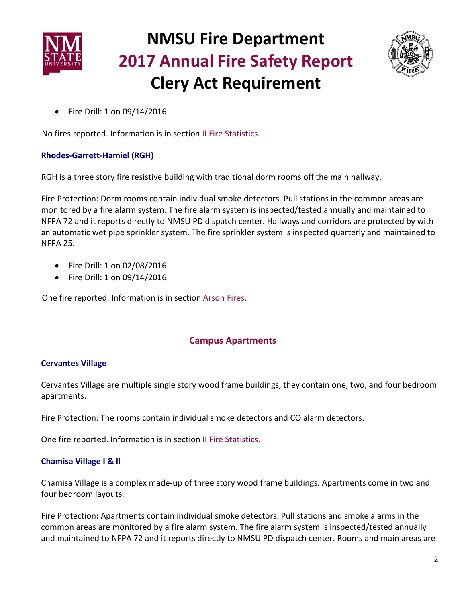



• Fire Drill: 1 on 09/14/2016

No fires reported. Information is in section II Fire Statistics.

#### **Rhodes-Garrett-Hamiel (RGH)**

RGH is a three story fire resistive building with traditional dorm rooms off the main hallway.

Fire Protection: Dorm rooms contain individual smoke detectors. Pull stations in the common areas are monitored by a fire alarm system. The fire alarm system is inspected/tested annually and maintained to NFPA 72 and it reports directly to NMSU PD dispatch center. Hallways and corridors are protected by with an automatic wet pipe sprinkler system. The fire sprinkler system is inspected quarterly and maintained to NFPA 25.

- Fire Drill: 1 on 02/08/2016
- Fire Drill: 1 on 09/14/2016

One fire reported. Information is in section Arson Fires.

### **Campus Apartments**

#### **Cervantes Village**

Cervantes Village are multiple single story wood frame buildings, they contain one, two, and four bedroom apartments.

Fire Protection: The rooms contain individual smoke detectors and CO alarm detectors.

One fire reported. Information is in section II Fire Statistics.

#### **Chamisa Village I & II**

Chamisa Village is a complex made-up of three story wood frame buildings. Apartments come in two and four bedroom layouts.

Fire Protection**:** Apartments contain individual smoke detectors. Pull stations and smoke alarms in the common areas are monitored by a fire alarm system. The fire alarm system is inspected/tested annually and maintained to NFPA 72 and it reports directly to NMSU PD dispatch center. Rooms and main areas are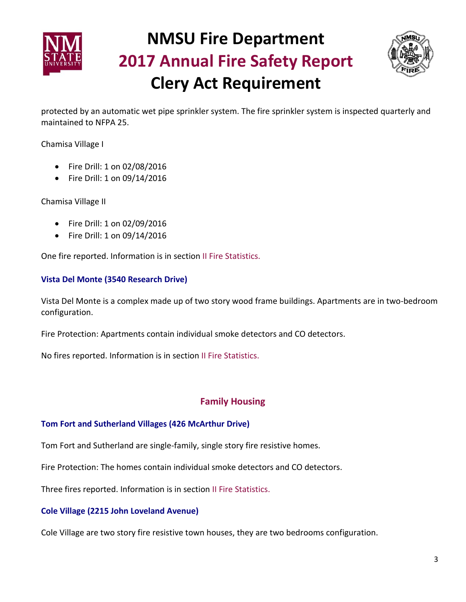



protected by an automatic wet pipe sprinkler system. The fire sprinkler system is inspected quarterly and maintained to NFPA 25.

Chamisa Village I

- Fire Drill: 1 on 02/08/2016
- Fire Drill: 1 on 09/14/2016

Chamisa Village II

- Fire Drill: 1 on 02/09/2016
- Fire Drill: 1 on 09/14/2016

One fire reported. Information is in section II Fire Statistics.

#### **Vista Del Monte (3540 Research Drive)**

Vista Del Monte is a complex made up of two story wood frame buildings. Apartments are in two-bedroom configuration.

Fire Protection: Apartments contain individual smoke detectors and CO detectors.

No fires reported. Information is in section II Fire Statistics.

#### **Family Housing**

#### **Tom Fort and Sutherland Villages (426 McArthur Drive)**

Tom Fort and Sutherland are single-family, single story fire resistive homes.

Fire Protection: The homes contain individual smoke detectors and CO detectors.

Three fires reported. Information is in section II Fire Statistics.

#### **Cole Village (2215 John Loveland Avenue)**

Cole Village are two story fire resistive town houses, they are two bedrooms configuration.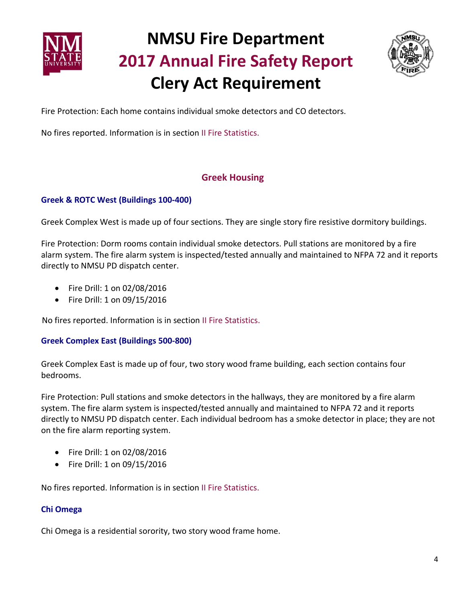



Fire Protection: Each home contains individual smoke detectors and CO detectors.

No fires reported. Information is in section II Fire Statistics.

### **Greek Housing**

#### **Greek & ROTC West (Buildings 100-400)**

Greek Complex West is made up of four sections. They are single story fire resistive dormitory buildings.

Fire Protection: Dorm rooms contain individual smoke detectors. Pull stations are monitored by a fire alarm system. The fire alarm system is inspected/tested annually and maintained to NFPA 72 and it reports directly to NMSU PD dispatch center.

- Fire Drill: 1 on 02/08/2016
- Fire Drill: 1 on 09/15/2016

No fires reported. Information is in section II Fire Statistics.

#### **Greek Complex East (Buildings 500-800)**

Greek Complex East is made up of four, two story wood frame building, each section contains four bedrooms.

Fire Protection: Pull stations and smoke detectors in the hallways, they are monitored by a fire alarm system. The fire alarm system is inspected/tested annually and maintained to NFPA 72 and it reports directly to NMSU PD dispatch center. Each individual bedroom has a smoke detector in place; they are not on the fire alarm reporting system.

- Fire Drill: 1 on 02/08/2016
- Fire Drill: 1 on 09/15/2016

No fires reported. Information is in section II Fire Statistics.

#### **Chi Omega**

Chi Omega is a residential sorority, two story wood frame home.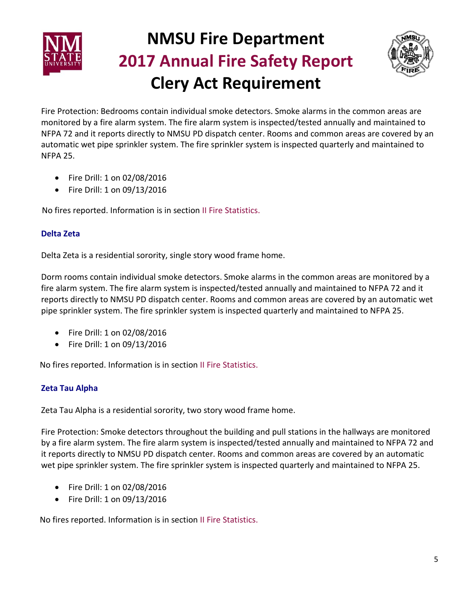



Fire Protection: Bedrooms contain individual smoke detectors. Smoke alarms in the common areas are monitored by a fire alarm system. The fire alarm system is inspected/tested annually and maintained to NFPA 72 and it reports directly to NMSU PD dispatch center. Rooms and common areas are covered by an automatic wet pipe sprinkler system. The fire sprinkler system is inspected quarterly and maintained to NFPA 25.

- Fire Drill: 1 on 02/08/2016
- Fire Drill: 1 on 09/13/2016

No fires reported. Information is in section II Fire Statistics.

#### **Delta Zeta**

Delta Zeta is a residential sorority, single story wood frame home.

Dorm rooms contain individual smoke detectors. Smoke alarms in the common areas are monitored by a fire alarm system. The fire alarm system is inspected/tested annually and maintained to NFPA 72 and it reports directly to NMSU PD dispatch center. Rooms and common areas are covered by an automatic wet pipe sprinkler system. The fire sprinkler system is inspected quarterly and maintained to NFPA 25.

- Fire Drill: 1 on 02/08/2016
- Fire Drill: 1 on 09/13/2016

No fires reported. Information is in section II Fire Statistics.

#### **Zeta Tau Alpha**

Zeta Tau Alpha is a residential sorority, two story wood frame home.

Fire Protection: Smoke detectors throughout the building and pull stations in the hallways are monitored by a fire alarm system. The fire alarm system is inspected/tested annually and maintained to NFPA 72 and it reports directly to NMSU PD dispatch center. Rooms and common areas are covered by an automatic wet pipe sprinkler system. The fire sprinkler system is inspected quarterly and maintained to NFPA 25.

- Fire Drill: 1 on 02/08/2016
- Fire Drill: 1 on 09/13/2016

No fires reported. Information is in section II Fire Statistics.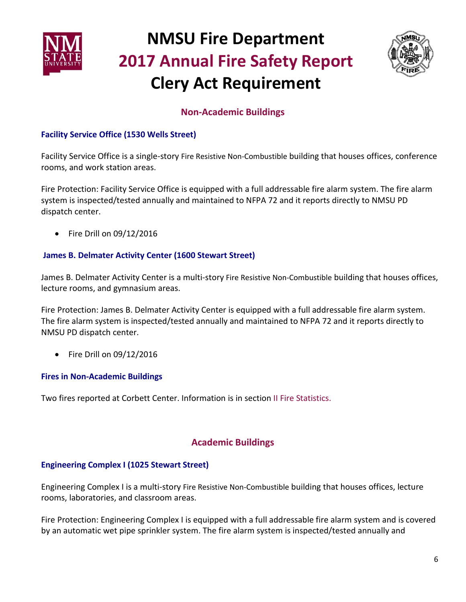



### **Non-Academic Buildings**

#### **Facility Service Office (1530 Wells Street)**

Facility Service Office is a single-story Fire Resistive Non-Combustible building that houses offices, conference rooms, and work station areas.

Fire Protection: Facility Service Office is equipped with a full addressable fire alarm system. The fire alarm system is inspected/tested annually and maintained to NFPA 72 and it reports directly to NMSU PD dispatch center.

• Fire Drill on 09/12/2016

#### **James B. Delmater Activity Center (1600 Stewart Street)**

James B. Delmater Activity Center is a multi-story Fire Resistive Non-Combustible building that houses offices, lecture rooms, and gymnasium areas.

Fire Protection: James B. Delmater Activity Center is equipped with a full addressable fire alarm system. The fire alarm system is inspected/tested annually and maintained to NFPA 72 and it reports directly to NMSU PD dispatch center.

• Fire Drill on 09/12/2016

#### **Fires in Non-Academic Buildings**

Two fires reported at Corbett Center. Information is in section II Fire Statistics.

### **Academic Buildings**

#### **Engineering Complex I (1025 Stewart Street)**

Engineering Complex I is a multi-story Fire Resistive Non-Combustible building that houses offices, lecture rooms, laboratories, and classroom areas.

Fire Protection: Engineering Complex I is equipped with a full addressable fire alarm system and is covered by an automatic wet pipe sprinkler system. The fire alarm system is inspected/tested annually and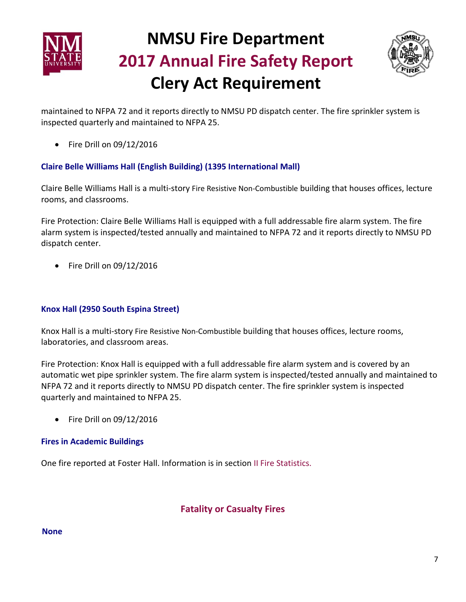



maintained to NFPA 72 and it reports directly to NMSU PD dispatch center. The fire sprinkler system is inspected quarterly and maintained to NFPA 25.

• Fire Drill on 09/12/2016

#### **Claire Belle Williams Hall (English Building) (1395 International Mall)**

Claire Belle Williams Hall is a multi-story Fire Resistive Non-Combustible building that houses offices, lecture rooms, and classrooms.

Fire Protection: Claire Belle Williams Hall is equipped with a full addressable fire alarm system. The fire alarm system is inspected/tested annually and maintained to NFPA 72 and it reports directly to NMSU PD dispatch center.

• Fire Drill on 09/12/2016

#### **Knox Hall (2950 South Espina Street)**

Knox Hall is a multi-story Fire Resistive Non-Combustible building that houses offices, lecture rooms, laboratories, and classroom areas.

Fire Protection: Knox Hall is equipped with a full addressable fire alarm system and is covered by an automatic wet pipe sprinkler system. The fire alarm system is inspected/tested annually and maintained to NFPA 72 and it reports directly to NMSU PD dispatch center. The fire sprinkler system is inspected quarterly and maintained to NFPA 25.

• Fire Drill on 09/12/2016

#### **Fires in Academic Buildings**

One fire reported at Foster Hall. Information is in section II Fire Statistics.

#### **Fatality or Casualty Fires**

#### **None**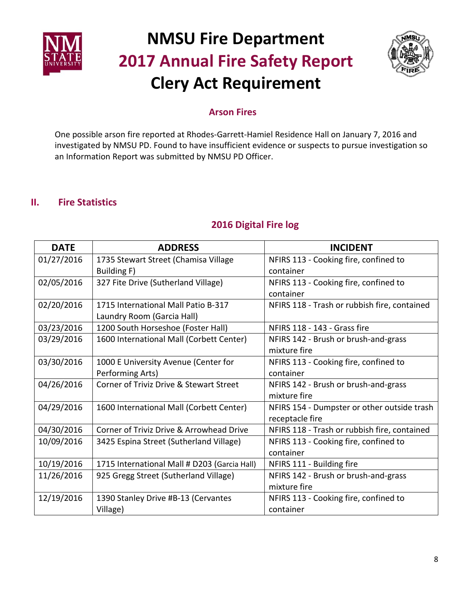



### **Arson Fires**

One possible arson fire reported at Rhodes-Garrett-Hamiel Residence Hall on January 7, 2016 and investigated by NMSU PD. Found to have insufficient evidence or suspects to pursue investigation so an Information Report was submitted by NMSU PD Officer.

### **II. Fire Statistics**

#### **DATE ADDRESS INCIDENT** 01/27/2016 | 1735 Stewart Street (Chamisa Village Building F) NFIRS 113 - Cooking fire, confined to container 02/05/2016 327 Fite Drive (Sutherland Village) NFIRS 113 - Cooking fire, confined to container 02/20/2016 1715 International Mall Patio B-317 Laundry Room (Garcia Hall) NFIRS 118 - Trash or rubbish fire, contained 03/23/2016 1200 South Horseshoe (Foster Hall) NFIRS 118 - 143 - Grass fire 03/29/2016 1600 International Mall (Corbett Center) | NFIRS 142 - Brush or brush-and-grass mixture fire 03/30/2016 | 1000 E University Avenue (Center for Performing Arts) NFIRS 113 - Cooking fire, confined to container 04/26/2016 Corner of Triviz Drive & Stewart Street | NFIRS 142 - Brush or brush-and-grass mixture fire 04/29/2016 | 1600 International Mall (Corbett Center) | NFIRS 154 - Dumpster or other outside trash receptacle fire 04/30/2016 Corner of Triviz Drive & Arrowhead Drive | NFIRS 118 - Trash or rubbish fire, contained 10/09/2016 | 3425 Espina Street (Sutherland Village) | NFIRS 113 - Cooking fire, confined to container  $10/19/2016$  | 1715 International Mall # D203 (Garcia Hall) | NFIRS 111 - Building fire 11/26/2016 925 Gregg Street (Sutherland Village) NFIRS 142 - Brush or brush-and-grass mixture fire 12/19/2016 1390 Stanley Drive #B-13 (Cervantes Village) NFIRS 113 - Cooking fire, confined to container

### **2016 Digital Fire log**